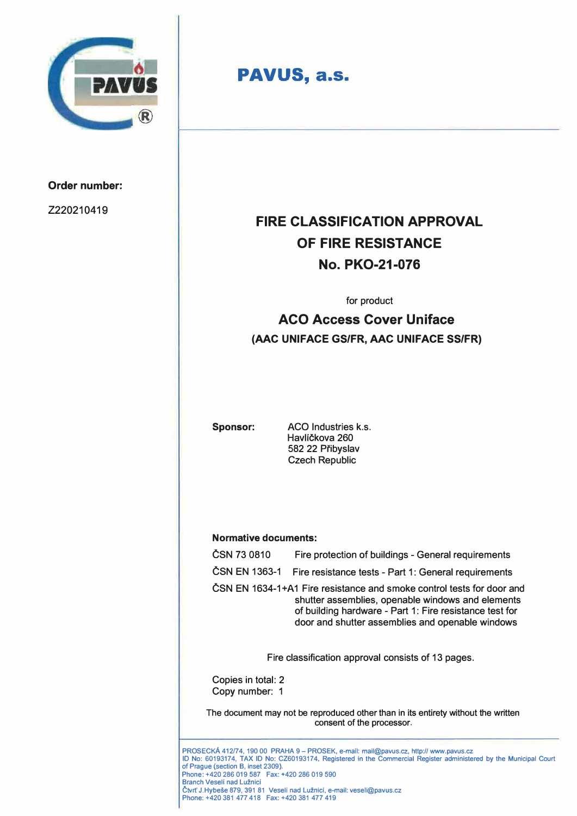

### **Order number:**

2220210419

# **PAVUS, a.s.**

# **FIRE CLASSIFICATION APPROVAL OF FIRE RESISTANCE No. PKO-21-076**

for product

# **ACO Access Cover Uniface (AAC UNIFACE GS/FR, AAC UNIFACE SS/FR)**

**Sponsor:** ACO Industries k.s. Havlíčkova 260 582 22 Pfibyslav Czech Republic

### **Normative documents:**

|                                                                                                                | ČSN 73 0810                                                                                                                                                                | Fire protection of buildings - General requirements                                                                                                                                                                                                                                   |  |
|----------------------------------------------------------------------------------------------------------------|----------------------------------------------------------------------------------------------------------------------------------------------------------------------------|---------------------------------------------------------------------------------------------------------------------------------------------------------------------------------------------------------------------------------------------------------------------------------------|--|
|                                                                                                                | ČSN EN 1363-1                                                                                                                                                              | Fire resistance tests - Part 1: General requirements                                                                                                                                                                                                                                  |  |
|                                                                                                                |                                                                                                                                                                            | ČSN EN 1634-1+A1 Fire resistance and smoke control tests for door and<br>shutter assemblies, openable windows and elements<br>of building hardware - Part 1: Fire resistance test for<br>door and shutter assemblies and openable windows                                             |  |
|                                                                                                                |                                                                                                                                                                            | Fire classification approval consists of 13 pages.                                                                                                                                                                                                                                    |  |
|                                                                                                                | Copies in total: 2<br>Copy number: 1                                                                                                                                       |                                                                                                                                                                                                                                                                                       |  |
| The document may not be reproduced other than in its entirety without the written<br>consent of the processor. |                                                                                                                                                                            |                                                                                                                                                                                                                                                                                       |  |
|                                                                                                                | of Prague (section B, inset 2309).<br>Phone: +420 286 019 587  Fax: +420 286 019 590<br><b>Branch Veselí nad Lužnicí</b><br>Phone: +420 381 477 418  Fax: +420 381 477 419 | PROSECKÁ 412/74, 190 00 PRAHA 9 – PROSEK, e-maíl: mail@pavus.cz, http:// www.pavus.cz<br>ID No: 60193174, TAX ID No: CZ60193174, Registered in the Commercial Register administered by the Municipal Court<br>Čtvrť J. Hybeše 879, 391 81 Veselí nad Lužnicí, e-mail: veseli@pavus.cz |  |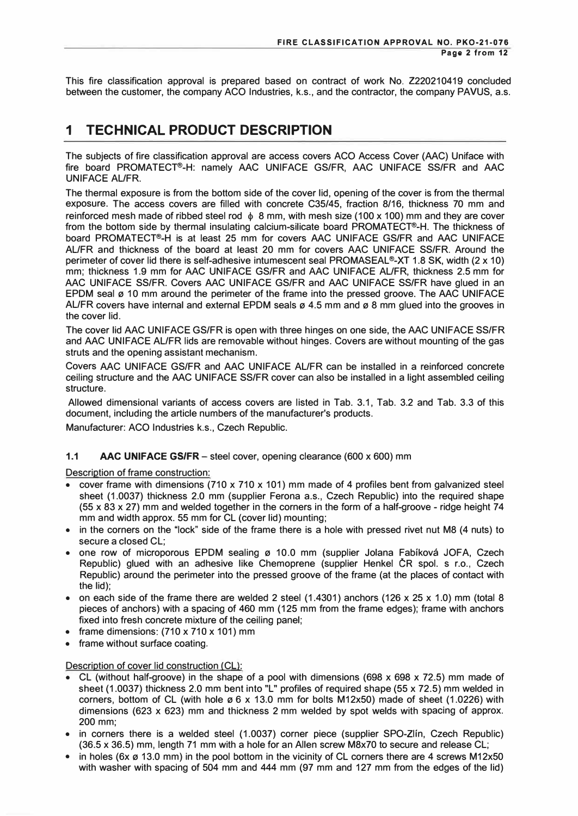This fire classification approval is prepared based on contract of work No. 2220210419 concluded between the customer, the company ACO Industries, k.s., and the contractor, the company PAVUS, a.s.

## **1 TECHNICAL PRODUCT DESCRIPTION**

The subjects of fire classification approval are access covers ACO Access Cover (AAC) Uniface with fire board PROMATECT®-H: namely AAC UNIFACE GS/FR, AAC UNIFACE SS/FR and AAC UNIFACE AL/FR.

The thermal exposure is from the bottom side of the cover lid, opening of the cover is from the thermal exposure. The access covers are filled with concrete C35/45, fraction 8/16, thickness 70 mm and reinforced mesh made of ribbed steel rod  $\phi$  8 mm, with mesh size (100 x 100) mm and they are cover from the bottom side by thermal insulating calcium-silicate board PROMATECT®-H. The thickness of board PROMATECT®-H is at least 25 mm for covers AAC UNIFACE GS/FR and AAC UNIFACE AL/FR and thickness of the board at least 20 mm for covers AAC UNIFACE SS/FR. Around the perimeter of cover lid there is self-adhesive intumescent seal PROMASEAL®-XT 1.8 SK, width (2 x 10) mm; thickness 1.9 mm for AAC UNIFACE GS/FR and AAC UNIFACE AL/FR, thickness 2.5 mm for AAC UNIFACE SS/FR. Covers AAC UNIFACE GS/FR and AAC UNIFACE SS/FR have glued in an EPDM seal ø 10 mm around the perimeter of the frame into the pressed groove. The AAC UNIFACE AL/FR covers have internal and external EPDM seals  $\varnothing$  4.5 mm and  $\varnothing$  8 mm glued into the grooves in the cover lid.

The cover lid AAC UNIFACE GS/FR is open with three hinges on one side, the AAC UNIFACE SS/FR and AAC UNIFACE AL/FR lids are removable without hinges. Covers are without mounting of the gas struts and the opening assistant mechanism.

Covers AAC UNIFACE GS/FR and AAC UNIFACE AL/FR can be installed in a reinforced concrete ceiling structure and the AAC UNIFACE SS/FR cover can also be installed in a light assembled ceiling structure.

Allowed dimensional variants of access covers are listed in Tab. 3.1, Tab. 3.2 and Tab. 3.3 of this document, including the article numbers of the manufacturer's products.

Manufacturer: ACO Industries k.s., Czech Republic.

### **1.1 AAC UNIFACE GS/FR** - steel cover, opening clearance (600 x 600) mm

Description of frame construction:

- cover frame with dimensions (710 x 710 x 101) mm made of 4 profiles bent from galvanized steel sheet (1.0037) thickness 2.0 mm (supplier Ferona a.s., Czech Republic) into the required shape (55 x 83 x 27) mm and welded together in the corners in the form of a half-groove - ridge height 74 mm and width approx. 55 mm for CL (cover lid) mounting;
- in the corners on the "lock" side of the frame there is a hole with pressed rivet nut M8 (4 nuts) to secure a closed CL;
- one row of microporous EPDM sealing ø 10.0 mm (supplier Jolana Fabíková JOFA, Czech Republic) glued with an adhesive like Chemoprene (supplier Henkel ČR spol. s r.o., Czech Republic) around the perimeter into the pressed groove of the frame (at the places of contact with the lid);
- on each side of the frame there are welded 2 steel  $(1.4301)$  anchors  $(126 \times 25 \times 1.0)$  mm (total 8 pieces of anchors) with a spacing of 460 mm (125 mm from the frame edges); frame with anchors fixed into fresh concrete mixture of the ceiling panel;
- frame dimensions:  $(710 \times 710 \times 101)$  mm
- frame without surface coating.

### Description of cover lid construction (CL):

- CL (without half-groove) in the shape of a pool with dimensions (698 x 698 x 72.5) mm made of sheet (1.0037) thickness 2.0 mm bent into "L" profiles of required shape (55 x 72.5) mm welded in corners, bottom of CL (with hole  $\emptyset$  6 x 13.0 mm for bolts M12x50) made of sheet (1.0226) with dimensions (623 x 623) mm and thickness 2 mm welded by spot welds with spacing of approx. 200 mm;
- in corners there is a welded steel (1.0037) corner piece (supplier SPO-Zlin, Czech Republic) (36.5 x 36.5) mm, length 71 mm with a hole for an Allen screw M8x70 to secure and release CL;
- in holes (6x ø 13.0 mm) in the pool bottom in the vicinity of CL corners there are 4 screws M12x50 with washer with spacing of 504 mm and 444 mm (97 mm and 127 mm from the edges of the lid)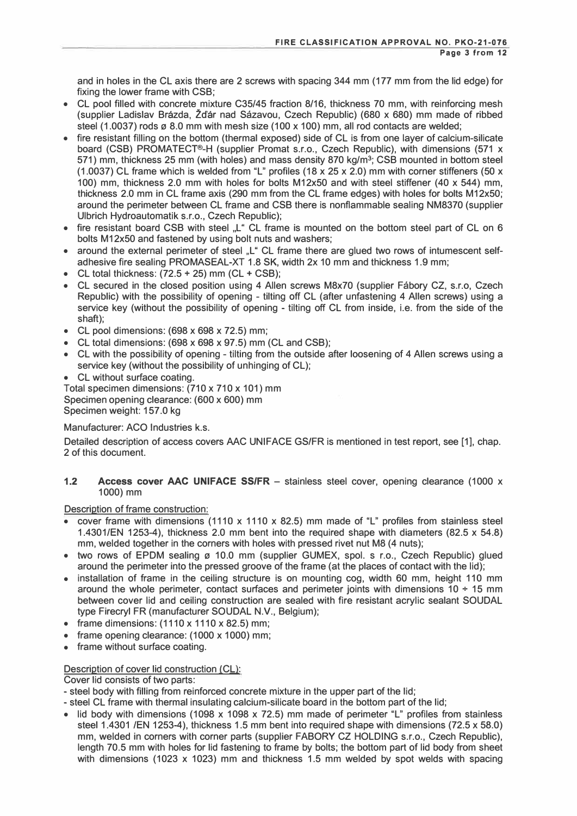and in holes in the CL axis there are 2 screws with spacing 344 mm (177 mm from the lid edge) for fixing the lower frame with CSB;

- CL pool filled with concrete mixture C35/45 fraction 8/16, thickness 70 mm, with reinforcing mesh (supplier Ladislav Brazda, Zcfar nad Sazavou, Czech Republic) (680 x 680) mm made of ribbed steel (1.0037) rods  $\varnothing$  8.0 mm with mesh size (100 x 100) mm, all rod contacts are welded;
- fire resistant filling on the bottom (thermal exposed) side of CL is from one layer of calcium-silicate board (CSB) PROMATECT®-H (supplier Promat s.r.o., Czech Republic), with dimensions (571 x 571) mm, thickness 25 mm (with holes) and mass density 870 kg/m**<sup>3</sup> ;** CSB mounted in bottom steel (1.0037) CL frame which is welded from "L" profiles (18 x 25 x 2.0) mm with corner stiffeners (50 x 100) mm, thickness 2.0 mm with holes for bolts M12x50 and with steel stiffener (40 x 544) mm, thickness 2.0 mm in CL frame axis (290 mm from the CL frame edges) with holes for bolts M12x50; around the perimeter between CL frame and CSB there is nonflammable sealing NM8370 (supplier Ulbrich Hydroautomatik s.r.o., Czech Republic);
- fire resistant board CSB with steel "L" CL frame is mounted on the bottom steel part of CL on 6 bolts M12x50 and fastened by using bolt nuts and washers;
- around the external perimeter of steel "L" CL frame there are glued two rows of intumescent selfadhesive fire sealing PROMASEAL-XT 1.8 SK, width 2x 10 mm and thickness 1.9 mm;
- CL total thickness:  $(72.5 + 25)$  mm  $(CL + CSB)$ ;
- CL secured in the closed position using 4 Allen screws M8x70 (supplier Fábory CZ, s.r.o, Czech Republic) with the possibility of opening - tilting off CL (after unfastening 4 Allen screws) using a service key (without the possibility of opening - tilting off CL from inside, i.e. from the side of the shaft);
- CL pool dimensions: (698 x 698 x 72.5) mm;
- CL total dimensions: (698 x 698 x 97.5) mm (CL and CSB);
- CL with the possibility of opening tilting from the outside after loosening of 4 Allen screws using a service key (without the possibility of unhinging of CL);
- CL without surface coating.

Total specimen dimensions: (710 x 710 x 101) mm Specimen opening clearance: (600 x 600) mm Specimen weight: 157.0 kg

### Manufacturer: ACO Industries k.s.

Detailed description of access covers AAC UNIFACE GS/FR is mentioned in test report, see [1], chap. 2 of this document.

#### **1.2 Access cover AAC UNIFACE SS/FR** - stainless steel cover, opening clearance (1000 x 1000) mm

Description of frame construction:

- cover frame with dimensions (1110 x 1110 x 82.5) mm made of "L" profiles from stainless steel 1.4301 /EN 1253-4 ), thickness 2.0 mm bent into the required shape with diameters (82.5 x 54.8) mm, welded together in the corners with holes with pressed rivet nut M8 (4 nuts);
- two rows of EPDM sealing ø 10.0 mm (supplier GUMEX, spol. s r.o., Czech Republic) glued around the perimeter into the pressed groove of the frame (at the places of contact with the lid);
- installation of frame in the ceiling structure is on mounting cog, width 60 mm, height 110 mm around the whole perimeter, contact surfaces and perimeter joints with dimensions  $10 \div 15$  mm between cover lid and ceiling construction are sealed with fire resistant acrylic sealant SOUDAL type Firecryl FR (manufacturer SOUDAL N.V., Belgium);
- frame dimensions:  $(1110 \times 1110 \times 82.5)$  mm;
- frame opening clearance: (1000 x 1000) mm;
- frame without surface coating.

### Description of cover lid construction (CL):

Cover lid consists of two parts:

- steel body with filling from reinforced concrete mixture in the upper part of the lid;
- steel CL frame with thermal insulating calcium-silicate board in the bottom part of the lid;
- lid body with dimensions (1098 x 1098 x 72.5) mm made of perimeter "L" profiles from stainless steel 1.4301 /EN 1253-4), thickness 1.5 mm bent into required shape with dimensions (72.5 x 58.0) mm, welded in corners with corner parts (supplier FABORY CZ HOLDING s.r.o., Czech Republic), length 70.5 mm with holes for lid fastening to frame by bolts; the bottom part of lid body from sheet with dimensions (1023 x 1023) mm and thickness 1.5 mm welded by spot welds with spacing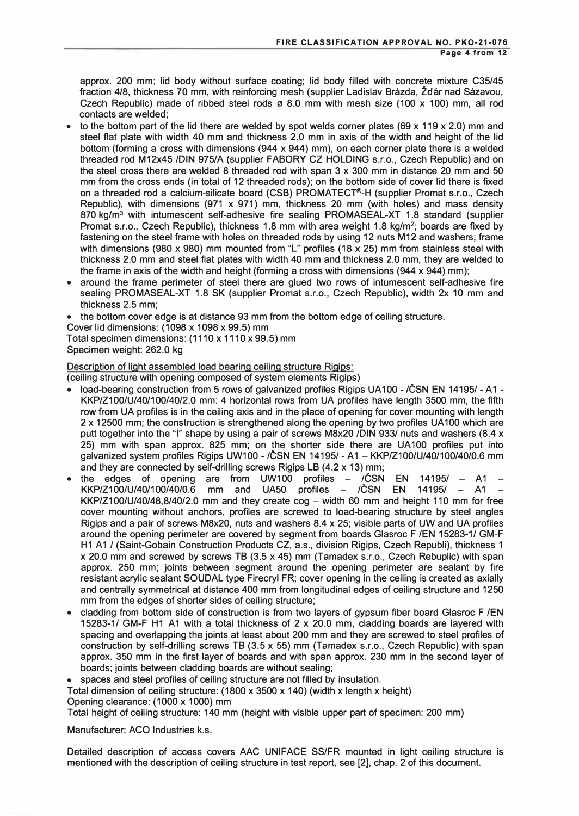approx. 200 mm; lid body without surface coating; lid body filled with concrete mixture C35/45 fraction 4/8, thickness 70 mm, with reinforcing mesh (supplier Ladislav Brázda, Žďár nad Sázavou, Czech Republic) made of ribbed steel rods  $\sigma$  8.0 mm with mesh size (100 x 100) mm, all rod contacts are welded;

- to the bottom part of the lid there are welded by spot welds corner plates (69 x 119 x 2.0) mm and steel flat plate with width 40 mm and thickness 2.0 mm in axis of the width and height of the lid bottom (forming a cross with dimensions (944 x 944) mm), on each corner plate there is a welded threaded rod M12x45 /DIN 975/A (supplier FABORY CZ HOLDING s.r.o., Czech Republic) and on the steel cross there are welded 8 threaded rod with span 3 x 300 mm in distance 20 mm and 50 mm from the cross ends (in total of 12 threaded rods); on the bottom side of cover lid there is fixed on a threaded rod a calcium-silicate board (CSB) PROMATECT®-H (supplier Promat s.r.o., Czech Republic), with dimensions (971  $\times$  971) mm, thickness 20 mm (with holes) and mass density 870 kg/m**<sup>3</sup>**with intumescent self-adhesive fire sealing PROMASEAL-XT 1.8 standard (supplier Promat s.r.o., Czech Republic), thickness 1.8 mm with area weight 1.8 kg/m**<sup>2</sup> ;** boards are fixed by fastening on the steel frame with holes on threaded rods by using 12 nuts M12 and washers; frame with dimensions (980 x 980) mm mounted from "L" profiles (18 x 25) mm from stainless steel with thickness 2.0 mm and steel flat plates with width 40 mm and thickness 2.0 mm, they are welded to the frame in axis of the width and height (forming a cross with dimensions (944 x 944) mm);
- around the frame perimeter of steel there are glued two rows of intumescent self-adhesive fire sealing PROMASEAL-XT 1.8 SK (supplier Promat s.r.o., Czech Republic). width 2x 10 mm and thickness 2.5 mm;
- the bottom cover edge is at distance 93 mm from the bottom edge of ceiling structure.
- Cover lid dimensions: (1098 x 1098 x 99.5) mm
- Total specimen dimensions: (1110 x 1110 x 99.5) mm

Specimen weight: 262.0 kg

Description of light assembled load bearing ceiling structure Rigios:

( ceiling structure with opening composed of system elements Rigips)

- load-bearing construction from 5 rows of galvanized profiles Rigips UA100 /CSN EN 14195/ A1 KKP/Z100/U/40/100/40/2.0 mm: 4 horizontal rows from UA profiles have length 3500 mm, the fifth row from UA profiles is in the ceiling axis and in the place of opening for cover mounting with length 2 x 12500 mm; the construction is strengthened along the opening by two profiles UA100 which are putt together into the "I" shape by using a pair of screws M8x20 /DIN 933/ nuts and washers (8.4 x 25) mm with span approx. 825 mm; on the shorter side there are UA100 profiles put into galvanized system profiles Rigips UW100 - /ČSN EN 14195/ - A1 - KKP/Z100/U/40/100/40/0.6 mm and they are connected by self-drilling screws Rigips LB (4.2 x 13) mm;
- the edges of opening are from UW100 profiles  $-$  / $\check{C}$ SN EN 14195/  $-$  A1  $-$ KKP/Z100/U/40/100/40/0.6 mm and UA50 profiles – /ČSN EN 14195/ – A1 –  $KKP/Z100/U/40/48,8/40/2.0$  mm and they create cog  $-$  width 60 mm and height 110 mm for free cover mounting without anchors, profiles are screwed to load-bearing structure by steel angles Rigips and a pair of screws M8x20, nuts and washers 8.4 x 25; visible parts of UW and UA profiles around the opening perimeter are covered by segment from boards Glasroc F /EN 15283-1/ GM-F H1 A1 / (Saint-Gobain Construction Products CZ, a.s., division Rigips, Czech Republi), thickness 1 x 20.0 mm and screwed by screws TB (3.5 x 45) mm (Tamadex s.r.o., Czech Rebuplic) with span approx. 250 mm; joints between segment around the opening perimeter are sealant by fire resistant acrylic sealant SOUDAL type Firecryl FR; cover opening in the ceiling is created as axially and centrally symmetrical at distance 400 mm from longitudinal edges of ceiling structure and 1250 mm from the edges of shorter sides of ceiling structure;
- cladding from bottom side of construction is from two layers of gypsum fiber board Glasroc F /EN 15283-1/ GM-F H1 A1 with a total thickness of 2 x 20.0 mm, cladding boards are layered with spacing and overlapping the joints at least about 200 mm and they are screwed to steel profiles of construction by self-drilling screws TB (3.5 x 55) mm (Tamadex s.r.o., Czech Republic) with span approx. 350 mm in the first layer of boards and with span approx. 230 mm in the second layer of boards; joints between cladding boards are without sealing;

• spaces and steel profiles of ceiling structure are not filled by insulation.

Total dimension of ceiling structure: (1800 x 3500 x 140) (width x length x height) Opening clearance: (1000 x 1000) mm

Total height of ceiling structure: 140 mm (height with visible upper part of specimen: 200 mm)

Manufacturer: ACO Industries k.s.

Detailed description of access covers AAC UNIFACE SS/FR mounted in light ceiling structure is mentioned with the description of ceiling structure in test report, see [2], chap. 2 of this document.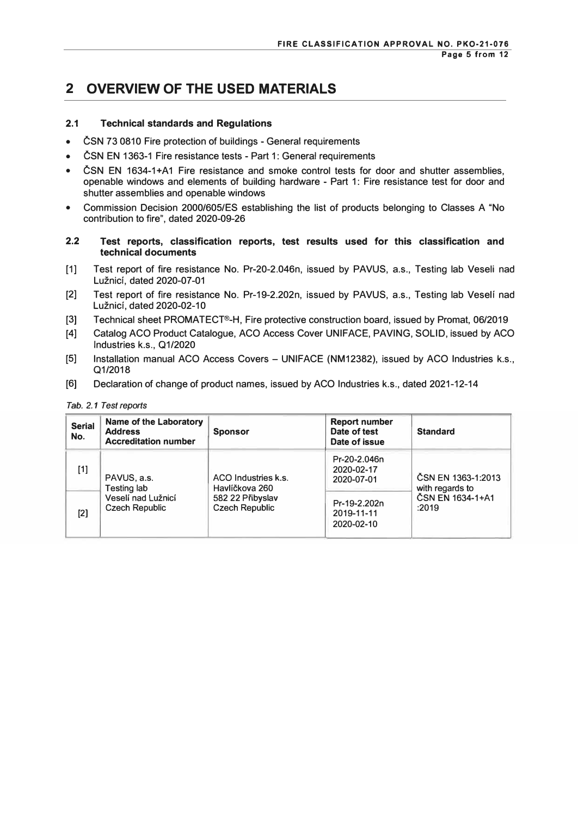### **2 OVERVIEW OF THE USED MATERIALS**

### **2.1 Technical standards and Regulations**

- CSN 73 0810 Fire protection of buildings General requirements
- ČSN EN 1363-1 Fire resistance tests Part 1: General requirements
- CSN EN 1634-1+A1 Fire resistance and smoke control tests for door and shutter assemblies, openable windows and elements of building hardware - Part 1: Fire resistance test for door and shutter assemblies and openable windows
- Commission Decision 2000/605/ES establishing the list of products belonging to Classes A "No contribution to fire", dated 2020-09-26
- **2.2 Test reports, classification reports, test results used for this classification and technical documents**
- [1] Test report of fire resistance No. Pr-20-2.046n, issued by PAVUS, a.s., Testing lab Veseli nad Luznici, dated 2020-07-01
- [2] Test report of fire resistance No. Pr-19-2.202n, issued by PAVUS, a.s., Testing lab Veseli nad Luznici, dated 2020-02-10
- [3] Technical sheet PROMATECT®-H, Fire protective construction board, issued by Promat, 06/2019
- [4] Catalog ACO Product Catalogue, ACO Access Cover UNIFACE, PAVING, SOLID, issued by ACO Industries k.s., 01/2020
- [5] Installation manual ACO Access Covers UNIFACE (NM12382), issued by ACO Industries k.s., Q1/2018
- [6] Declaration of change of product names, issued by ACO Industries k.s., dated 2021-12-14

| <b>Serial</b><br>No. | Name of the Laboratory<br><b>Address</b><br><b>Accreditation number</b>   | <b>Sponsor</b>                                                                     | <b>Report number</b><br>Date of test<br>Date of issue | <b>Standard</b>                                                    |
|----------------------|---------------------------------------------------------------------------|------------------------------------------------------------------------------------|-------------------------------------------------------|--------------------------------------------------------------------|
| $[1]$                | PAVUS, a.s.<br>Testing lab<br>Veselí nad Lužnicí<br><b>Czech Republic</b> | ACO Industries k.s.<br>Havlíčkova 260<br>582 22 Přibyslav<br><b>Czech Republic</b> | Pr-20-2.046n<br>2020-02-17<br>2020-07-01              | ČSN EN 1363-1:2013<br>with regards to<br>ČSN EN 1634-1+A1<br>:2019 |
| [2]                  |                                                                           |                                                                                    | Pr-19-2.202n<br>2019-11-11<br>2020-02-10              |                                                                    |

#### *Tab. 2.1 Test reports*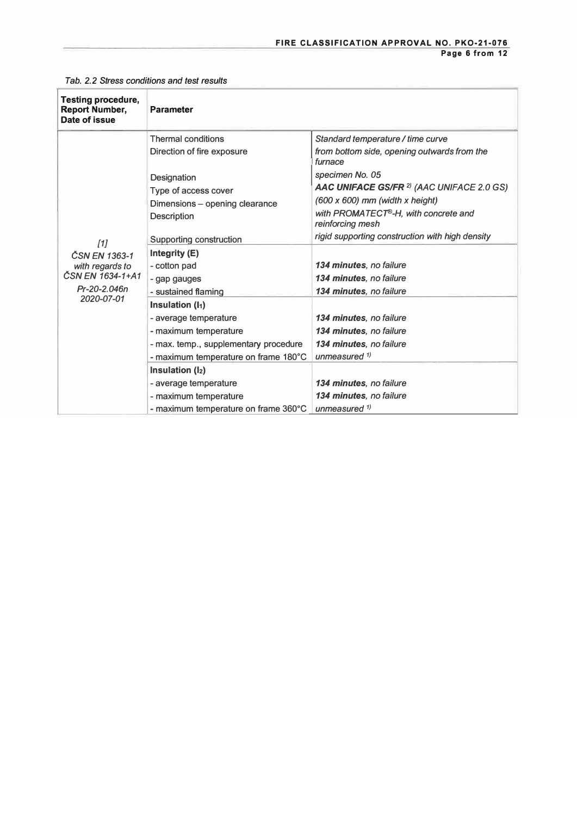| <b>Testing procedure,</b><br><b>Report Number,</b><br>Date of issue | <b>Parameter</b>                      |                                                          |
|---------------------------------------------------------------------|---------------------------------------|----------------------------------------------------------|
|                                                                     | <b>Thermal conditions</b>             | Standard temperature / time curve                        |
|                                                                     | Direction of fire exposure            | from bottom side, opening outwards from the<br>furnace   |
|                                                                     | Designation                           | specimen No. 05                                          |
|                                                                     | Type of access cover                  | AAC UNIFACE GS/FR <sup>2)</sup> (AAC UNIFACE 2.0 GS)     |
|                                                                     | Dimensions - opening clearance        | $(600 \times 600)$ mm (width x height)                   |
|                                                                     | <b>Description</b>                    | with PROMATECT®-H, with concrete and<br>reinforcing mesh |
| $[1]$                                                               | Supporting construction               | rigid supporting construction with high density          |
| ČSN EN 1363-1                                                       | Integrity (E)                         |                                                          |
| with regards to                                                     | - cotton pad                          | <b>134 minutes</b> , no failure                          |
| ČSN EN 1634-1+A1                                                    | - gap gauges                          | 134 minutes, no failure                                  |
| Pr-20-2.046n<br>2020-07-01                                          | - sustained flaming                   | 134 minutes, no failure                                  |
|                                                                     | Insulation (I <sub>1</sub> )          |                                                          |
|                                                                     | - average temperature                 | 134 minutes, no failure                                  |
|                                                                     | - maximum temperature                 | 134 minutes, no failure                                  |
|                                                                     | - max. temp., supplementary procedure | 134 minutes, no failure                                  |
|                                                                     | - maximum temperature on frame 180°C  | unmeasured $\frac{1}{2}$                                 |
|                                                                     | Insulation $(l_2)$                    |                                                          |
|                                                                     | - average temperature                 | 134 minutes, no failure                                  |
|                                                                     | - maximum temperature                 | 134 minutes, no failure                                  |
|                                                                     | - maximum temperature on frame 360°C  | unmeasured <sup>1)</sup>                                 |

*Tab. 2.2 Stress conditions and test results*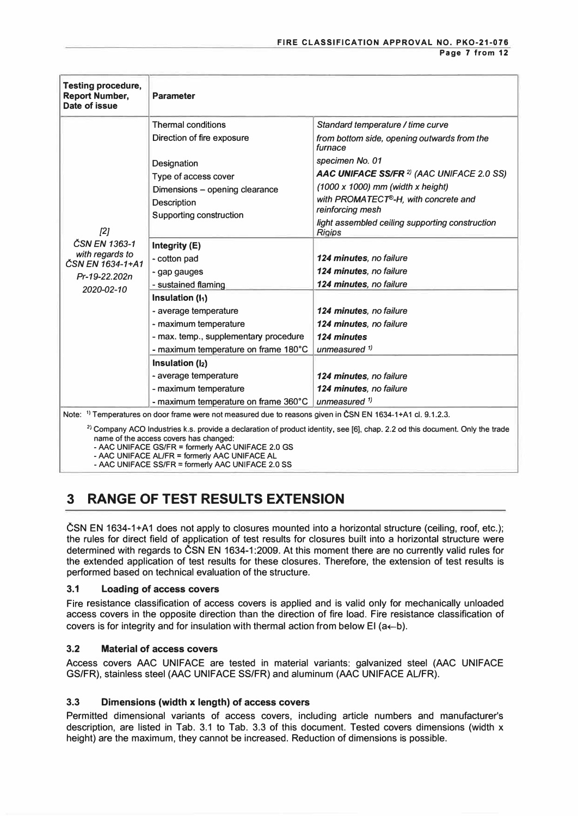| <b>Testing procedure,</b><br><b>Report Number,</b><br>Date of issue | <b>Parameter</b>                                                                                                       |                                                                                                                                       |
|---------------------------------------------------------------------|------------------------------------------------------------------------------------------------------------------------|---------------------------------------------------------------------------------------------------------------------------------------|
|                                                                     | <b>Thermal conditions</b>                                                                                              | Standard temperature / time curve                                                                                                     |
|                                                                     | Direction of fire exposure                                                                                             | from bottom side, opening outwards from the<br>furnace                                                                                |
|                                                                     | Designation<br>Type of access cover<br>Dimensions - opening clearance<br><b>Description</b><br>Supporting construction | specimen No. 01                                                                                                                       |
|                                                                     |                                                                                                                        | AAC UNIFACE SS/FR <sup>2)</sup> (AAC UNIFACE 2.0 SS)                                                                                  |
|                                                                     |                                                                                                                        | $(1000 \times 1000)$ mm (width x height)                                                                                              |
|                                                                     |                                                                                                                        | with PROMATECT®-H, with concrete and<br>reinforcing mesh                                                                              |
| $[2]$                                                               |                                                                                                                        | light assembled ceiling supporting construction<br><b>Rigips</b>                                                                      |
| ČSN EN 1363-1                                                       | Integrity (E)                                                                                                          |                                                                                                                                       |
| with regards to<br>ČSN EN 1634-1+A1                                 | - cotton pad                                                                                                           | 124 minutes, no failure                                                                                                               |
| Pr-19-22.202n                                                       | - gap gauges                                                                                                           | 124 minutes, no failure                                                                                                               |
| 2020-02-10                                                          | - sustained flaming                                                                                                    | 124 minutes, no failure                                                                                                               |
|                                                                     | Insulation (h)                                                                                                         |                                                                                                                                       |
|                                                                     | - average temperature                                                                                                  | 124 minutes, no failure                                                                                                               |
|                                                                     | - maximum temperature                                                                                                  | 124 minutes, no failure                                                                                                               |
|                                                                     | - max. temp., supplementary procedure                                                                                  | 124 minutes                                                                                                                           |
|                                                                     | - maximum temperature on frame 180°C                                                                                   | unmeasured $1$                                                                                                                        |
|                                                                     | Insulation (I2)                                                                                                        |                                                                                                                                       |
|                                                                     | - average temperature                                                                                                  | 124 minutes, no failure                                                                                                               |
|                                                                     | - maximum temperature                                                                                                  | 124 minutes, no failure                                                                                                               |
|                                                                     | - maximum temperature on frame 360°C                                                                                   | unmeasured $1$                                                                                                                        |
|                                                                     | Note: <sup>1)</sup> Temperatures on door frame were not measured due to reasons given in ČSN EN 1634-1+A1 cl. 9.1.2.3. |                                                                                                                                       |
|                                                                     |                                                                                                                        | <sup>2</sup> ) Company ACO Industries k s. provide a declaration of product identity see [6] chan 22 od this document. Only the trade |

**> Company ACO Industries k.s. provide a declaration of product identity, see (6], chap. 2.2 od this document. Only the trade name of the access covers has changed:** 

**- MC UNIFACE GS/FR = formerly MC UNIFACE 2.0 GS** 

**- MC UNIFACE AUFR = formerly MC UNIFACE AL**

**- MC UNIFACE SS/FR = formerly MC UNIFACE 2.0 SS**

# **3 RANGE OF TEST RESULTS EXTENSION**

CSN EN 1634-1+A1 does not apply to closures mounted into a horizontal structure (ceiling, roof, etc.); the rules for direct field of application of test results for closures built into a horizontal structure were determined with regards to ČSN EN 1634-1:2009. At this moment there are no currently valid rules for the extended application of test results for these closures. Therefore, the extension of test results is performed based on technical evaluation of the structure.

### **3.1 Loading of access covers**

Fire resistance classification of access covers is applied and is valid only for mechanically unloaded access covers in the opposite direction than the direction of fire load. Fire resistance classification of covers is for integrity and for insulation with thermal action from below EI ( $a \leftarrow b$ ).

### **3.2 Material of access covers**

Access covers AAC UNIFACE are tested in material variants: galvanized steel (AAC UNIFACE GS/FR), stainless steel (AAC UNIFACE SS/FR) and aluminum (AAC UNIFACE AUFR).

### **3.3 Dimensions (width x length) of access covers**

Permitted dimensional variants of access covers, including article numbers and manufacturer's description, are listed in Tab. 3.1 to Tab. 3.3 of this document. Tested covers dimensions (width x height) are the maximum, they cannot be increased. Reduction of dimensions is possible.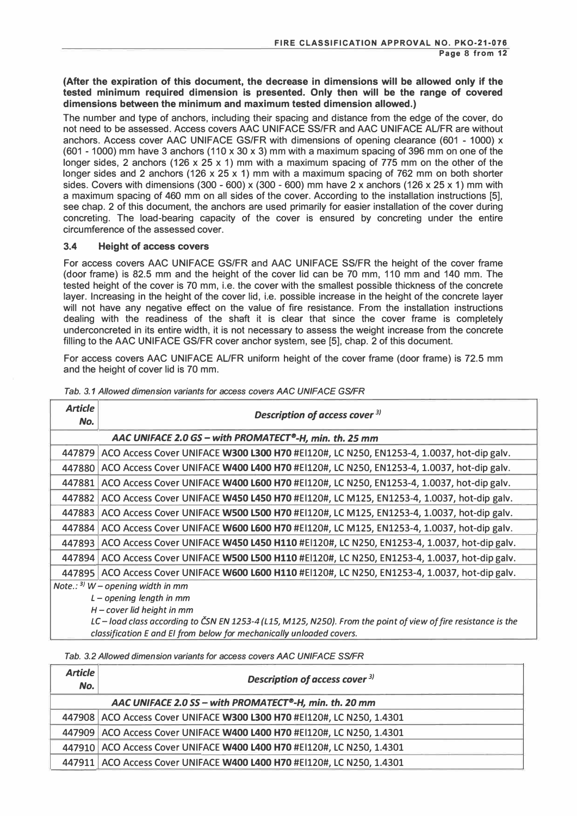**(After the expiration of this document, the decrease in dimensions will be allowed only if the tested minimum required dimension is presented. Only then will be the range of covered dimensions between the minimum and maximum tested dimension allowed.)** 

The number and type of anchors, including their spacing and distance from the edge of the cover, do not need to be assessed. Access covers AAC UNIFACE SS/FR and AAC UNIFACE AL/FR are without anchors. Access cover AAC UNIFACE GS/FR with dimensions of opening clearance (601 - 1000) x (601 - 1000) mm have 3 anchors (110 x 30 x 3) mm with a maximum spacing of 396 mm on one of the longer sides, 2 anchors (126 x 25 x 1) mm with a maximum spacing of 775 mm on the other of the longer sides and 2 anchors (126 x 25 x 1) mm with a maximum spacing of 762 mm on both shorter sides. Covers with dimensions  $(300 - 600) \times (300 - 600)$  mm have 2 x anchors  $(126 \times 25 \times 1)$  mm with a maximum spacing of 460 mm on all sides of the cover. According to the installation instructions [5], see chap. 2 of this document, the anchors are used primarily for easier installation of the cover during concreting. The load-bearing capacity of the cover is ensured by concreting under the entire circumference of the assessed cover.

#### **3.4 Height of access covers**

For access covers AAC UNIFACE GS/FR and AAC UNIFACE SS/FR the height of the cover frame (door frame) is 82.5 mm and the height of the cover lid can be 70 mm, 110 mm and 140 mm. The tested height of the cover is 70 mm, i.e. the cover with the smallest possible thickness of the concrete layer. Increasing in the height of the cover lid, i.e. possible increase in the height of the concrete layer will not have any negative effect on the value of fire resistance. From the installation instructions dealing with the readiness of the shaft it is clear that since the cover frame is completely underconcreted in its entire width, it is not necessary to assess the weight increase from the concrete filling to the AAC UNIFACE GS/FR cover anchor system, see [5], chap. 2 of this document.

For access covers AAC UNIFACE AL/FR uniform height of the cover frame (door frame) is 72.5 mm and the height of cover lid is 70 mm.

| <b>Article</b>                                                                                                 | Description of access cover 3)                                                                    |  |  |
|----------------------------------------------------------------------------------------------------------------|---------------------------------------------------------------------------------------------------|--|--|
| No.                                                                                                            |                                                                                                   |  |  |
|                                                                                                                | AAC UNIFACE 2.0 GS - with PROMATECT®-H, min. th. 25 mm                                            |  |  |
|                                                                                                                | 447879   ACO Access Cover UNIFACE W300 L300 H70 #E1120#, LC N250, EN1253-4, 1.0037, hot-dip galv. |  |  |
|                                                                                                                | 447880 ACO Access Cover UNIFACE W400 L400 H70 #El120#, LC N250, EN1253-4, 1.0037, hot-dip galv.   |  |  |
|                                                                                                                | 447881 ACO Access Cover UNIFACE W400 L600 H70 #El120#, LC N250, EN1253-4, 1.0037, hot-dip galv.   |  |  |
|                                                                                                                | 447882   ACO Access Cover UNIFACE W450 L450 H70 #El120#, LC M125, EN1253-4, 1.0037, hot-dip galv. |  |  |
|                                                                                                                | 447883 ACO Access Cover UNIFACE W500 L500 H70 #El120#, LC M125, EN1253-4, 1.0037, hot-dip galv.   |  |  |
|                                                                                                                | 447884 ACO Access Cover UNIFACE W600 L600 H70 #El120#, LC M125, EN1253-4, 1.0037, hot-dip galv.   |  |  |
|                                                                                                                | 447893 ACO Access Cover UNIFACE W450 L450 H110 #El120#, LC N250, EN1253-4, 1.0037, hot-dip galv.  |  |  |
|                                                                                                                | 447894 ACO Access Cover UNIFACE W500 L500 H110 #El120#, LC N250, EN1253-4, 1.0037, hot-dip galv.  |  |  |
|                                                                                                                | 447895 ACO Access Cover UNIFACE W600 L600 H110 #El120#, LC N250, EN1253-4, 1.0037, hot-dip galv.  |  |  |
| Note.: $3$ W – opening width in mm                                                                             |                                                                                                   |  |  |
| $L$ – opening length in mm                                                                                     |                                                                                                   |  |  |
| $H$ – cover lid height in mm                                                                                   |                                                                                                   |  |  |
| LC - load class according to CSN EN 1253-4 (L15, M125, N250). From the point of view of fire resistance is the |                                                                                                   |  |  |
| classification E and EI from below for mechanically unloaded covers.                                           |                                                                                                   |  |  |

*Tab. 3. 1 Allowed dimension variants for access covers* **AAC** *UN/FACE GS/FR* 

*Tab. 3.2 Allowed dimension variants for access covers* **AAC** *UN/FACE SS/FR* 

| <b>Article</b><br>No. | Description of access cover <sup>3)</sup>                                |
|-----------------------|--------------------------------------------------------------------------|
|                       | AAC UNIFACE 2.0 SS - with PROMATECT®-H, min. th. 20 mm                   |
|                       | 447908   ACO Access Cover UNIFACE W300 L300 H70 #E1120#, LC N250, 1.4301 |
|                       | 447909   ACO Access Cover UNIFACE W400 L400 H70 #El120#, LC N250, 1.4301 |
|                       | 447910   ACO Access Cover UNIFACE W400 L400 H70 #EI120#, LC N250, 1.4301 |
|                       | 447911   ACO Access Cover UNIFACE W400 L400 H70 #El120#, LC N250, 1.4301 |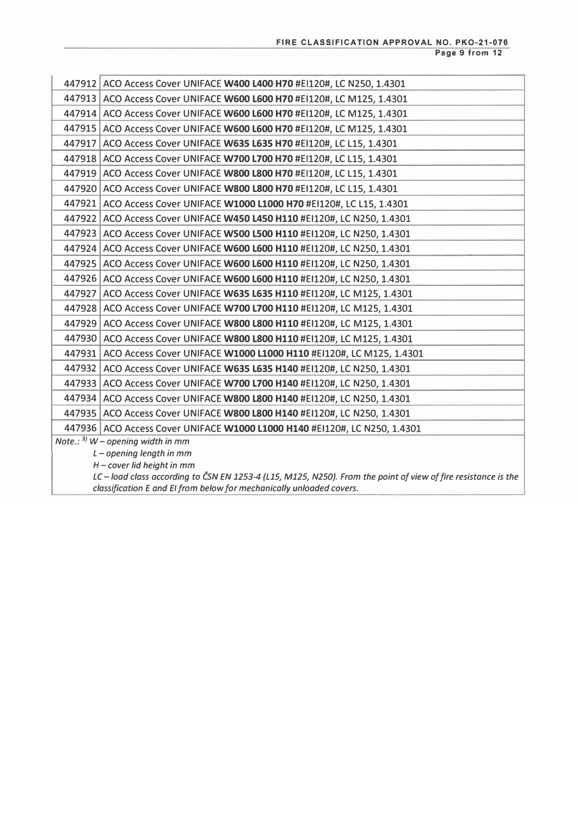|                                                                                                                                                |  | 447912 ACO Access Cover UNIFACE W400 L400 H70 #E1120#, LC N250, 1.4301    |  |
|------------------------------------------------------------------------------------------------------------------------------------------------|--|---------------------------------------------------------------------------|--|
|                                                                                                                                                |  | 447913 ACO Access Cover UNIFACE W600 L600 H70 #EI120#, LC M125, 1.4301    |  |
|                                                                                                                                                |  | 447914 ACO Access Cover UNIFACE W600 L600 H70 #EI120#, LC M125, 1.4301    |  |
|                                                                                                                                                |  | 447915 ACO Access Cover UNIFACE W600 L600 H70 #EI120#, LC M125, 1.4301    |  |
|                                                                                                                                                |  | 447917 ACO Access Cover UNIFACE W635 L635 H70 #EI120#, LC L15, 1.4301     |  |
|                                                                                                                                                |  | 447918 ACO Access Cover UNIFACE W700 L700 H70 #EI120#, LC L15, 1.4301     |  |
|                                                                                                                                                |  | 447919 ACO Access Cover UNIFACE W800 L800 H70 #EI120#, LC L15, 1.4301     |  |
|                                                                                                                                                |  | 447920 ACO Access Cover UNIFACE W800 L800 H70 #EI120#, LC L15, 1.4301     |  |
|                                                                                                                                                |  | 447921 ACO Access Cover UNIFACE W1000 L1000 H70 #EI120#, LC L15, 1.4301   |  |
|                                                                                                                                                |  | 447922 ACO Access Cover UNIFACE W450 L450 H110 #EI120#, LC N250, 1.4301   |  |
|                                                                                                                                                |  | 447923 ACO Access Cover UNIFACE W500 L500 H110 #EI120#, LC N250, 1.4301   |  |
|                                                                                                                                                |  | 447924 ACO Access Cover UNIFACE W600 L600 H110 #EI120#, LC N250, 1.4301   |  |
|                                                                                                                                                |  | 447925 ACO Access Cover UNIFACE W600 L600 H110 #EI120#, LC N250, 1.4301   |  |
|                                                                                                                                                |  | 447926 ACO Access Cover UNIFACE W600 L600 H110 #EI120#, LC N250, 1.4301   |  |
|                                                                                                                                                |  | 447927 ACO Access Cover UNIFACE W635 L635 H110 #EI120#, LC M125, 1.4301   |  |
|                                                                                                                                                |  | 447928 ACO Access Cover UNIFACE W700 L700 H110 #EI120#, LC M125, 1.4301   |  |
|                                                                                                                                                |  | 447929 ACO Access Cover UNIFACE W800 L800 H110 #EI120#, LC M125, 1.4301   |  |
|                                                                                                                                                |  | 447930 ACO Access Cover UNIFACE W800 L800 H110 #EI120#, LC M125, 1.4301   |  |
|                                                                                                                                                |  | 447931 ACO Access Cover UNIFACE W1000 L1000 H110 #EI120#, LC M125, 1.4301 |  |
|                                                                                                                                                |  | 447932 ACO Access Cover UNIFACE W635 L635 H140 #EI120#, LC N250, 1.4301   |  |
|                                                                                                                                                |  | 447933 ACO Access Cover UNIFACE W700 L700 H140 #EI120#, LC N250, 1.4301   |  |
|                                                                                                                                                |  | 447934 ACO Access Cover UNIFACE W800 L800 H140 #EI120#, LC N250, 1.4301   |  |
|                                                                                                                                                |  | 447935 ACO Access Cover UNIFACE W800 L800 H140 #EI120#, LC N250, 1.4301   |  |
|                                                                                                                                                |  | 447936 ACO Access Cover UNIFACE W1000 L1000 H140 #EI120#, LC N250, 1.4301 |  |
| Note.: $3$ ) W – opening width in mm                                                                                                           |  |                                                                           |  |
| $L$ – opening length in mm                                                                                                                     |  |                                                                           |  |
| $H$ – cover lid height in mm<br>LC - load class according to ČSN EN 1253-4 (L15, M125, N250). From the point of view of fire resistance is the |  |                                                                           |  |
| classification E and EI from below for mechanically unloaded covers.                                                                           |  |                                                                           |  |
|                                                                                                                                                |  |                                                                           |  |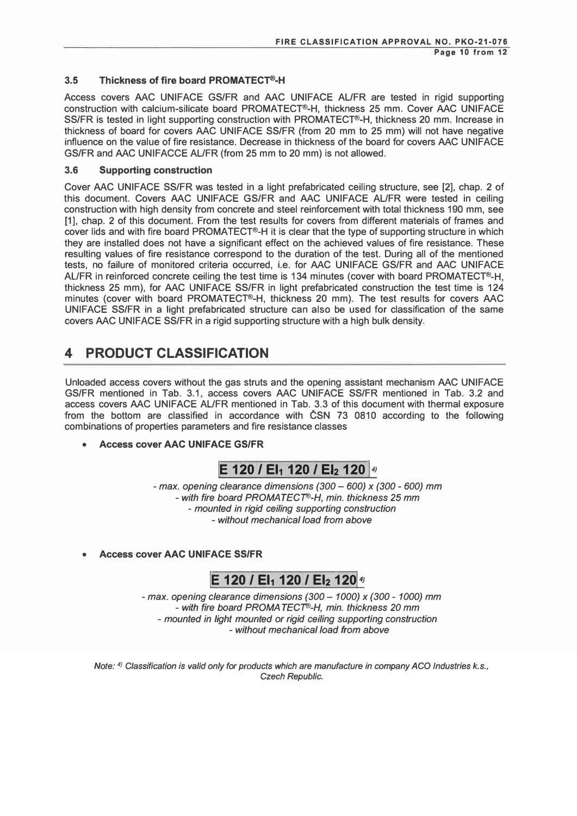### **3.5 Thickness of fire board PROMATECT®-H**

Access covers MC UNIFACE GS/FR and MC UNIFACE AL/FR are tested in rigid supporting construction with calcium-silicate board PROMATECT®-H, thickness 25 mm. Cover AAC UNIFACE SS/FR is tested in light supporting construction with PROMATECT®-H, thickness 20 mm. Increase in thickness of board for covers MC UNIFACE SS/FR (from 20 mm to 25 mm) will not have negative influence on the value of fire resistance. Decrease in thickness of the board for covers AAC UNIFACE GS/FR and AAC UNIFACCE AL/FR (from 25 mm to 20 mm) is not allowed.

#### **3.6 Supporting construction**

Cover MC UNIFACE SS/FR was tested in a light prefabricated ceiling structure, see [2], chap. 2 of this document. Covers AAC UNIFACE GS/FR and AAC UNIFACE AL/FR were tested in ceiling construction with high density from concrete and steel reinforcement with total thickness 190 mm, see [1], chap. 2 of this document. From the test results for covers from different materials of frames and cover lids and with fire board PROMATECT®-H it is clear that the type of supporting structure in which they are installed does not have a significant effect on the achieved values of fire resistance. These resulting values of fire resistance correspond to the duration of the test. During all of the mentioned tests, no failure of monitored criteria occurred, i.e. for AAC UNIFACE GS/FR and AAC UNIFACE AL/FR in reinforced concrete ceiling the test time is 134 minutes (cover with board PROMATECT®-H, thickness 25 mm), for AAC UNIFACE SS/FR in light prefabricated construction the test time is 124 minutes (cover with board PROMATECT®-H, thickness 20 mm). The test results for covers AAC UNIFACE SS/FR in a light prefabricated structure can also be used for classification of the same covers AAC UNIFACE SS/FR in a rigid supporting structure with a high bulk density.

### **4 PRODUCT CLASSIFICATION**

Unloaded access covers without the gas struts and the opening assistant mechanism MC UNIFACE GS/FR mentioned in Tab. 3.1, access covers MC UNIFACE SS/FR mentioned in Tab. 3.2 and access covers MC UNIFACE AL/FR mentioned in Tab. 3.3 of this document with thermal exposure from the bottom are classified in accordance with CSN 73 0810 according to the following combinations of properties parameters and fire resistance classes

**• Access cover AAC UNIFACE GS/FR**

**E** 120 / **EI<sub>1</sub> 120 / EI<sub>2</sub> 120**  $\frac{4}{9}$ 

- *max. opening clearance dimensions (300* - *600) x (300* - *600)* mm - *with fire board PROMA TECT®-H, min. thickness 25* mm - *mounted in rigid ceiling supporting construction* - *without mechanical load from above*

**• Access cover AAC UNIFACE SSIFR**

# **E** 120 / **El<sub>1</sub> 120 / El<sub>2</sub> 120<sup>4</sup>**

- *max. opening clearance dimensions (300* - *1000) x (300* - *1000)* mm - *with fire board PROMA TECT®-H, min. thickness 20* mm - *mounted in light mounted or rigid ceiling supporting construction* - *without mechanical load from above*

*Note: 4 ! Classification is valid only for products which are manufacture in company AGO Industries k.s., Czech Republic.*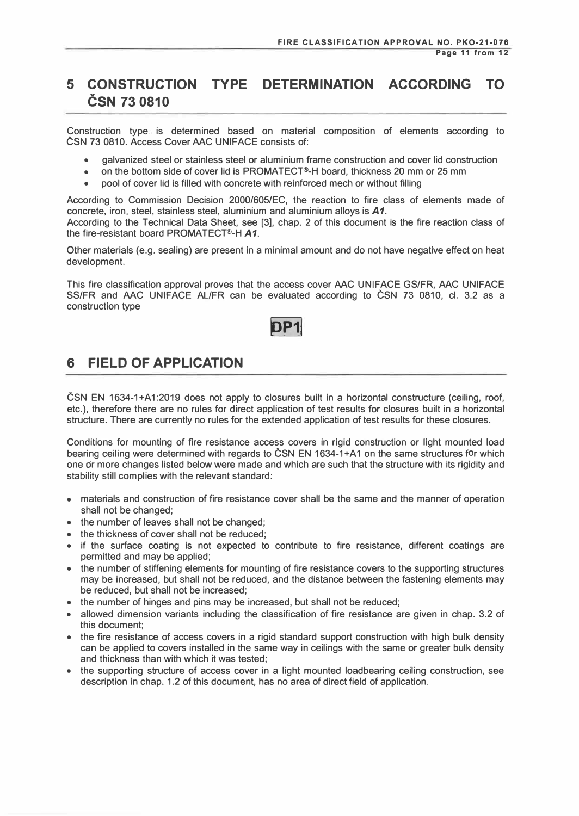# **5 CONSTRUCTION TYPE DETERMINATION ACCORDING TO CSN 73 0810**

Construction type is determined based on material composition of elements according to CSN 73 0810. Access Cover AAC UNIFACE consists of:

- galvanized steel or stainless steel or aluminium frame construction and cover lid construction
- on the bottom side of cover lid is PROMATECT®-H board, thickness 20 mm or 25 mm
- pool of cover lid is filled with concrete with reinforced mech or without filling

According to Commission Decision 2000/605/EC, the reaction to fire class of elements made of concrete, iron, steel, stainless steel, aluminium and aluminium alloys is *A1.*  According to the Technical Data Sheet, see [3], chap. 2 of this document is the fire reaction class of

the fire-resistant board PROMATECT®-H *A1.* Other materials (e.g. sealing) are present in a minimal amount and do not have negative effect on heat development.

This fire classification approval proves that the access cover AAC UNIFACE GS/FR, AAC UNIFACE SS/FR and AAC UNIFACE AL/FR can be evaluated according to CSN 73 0810, cl. 3.2 as a construction type



### **6 FIELD OF APPLICATION**

CSN EN 1634-1+A1:2019 does not apply to closures built in a horizontal constructure (ceiling, roof, etc.), therefore there are no rules for direct application of test results for closures built in a horizontal structure. There are currently no rules for the extended application of test results for these closures.

Conditions for mounting of fire resistance access covers in rigid construction or light mounted load bearing ceiling were determined with regards to ČSN EN 1634-1+A1 on the same structures for which one or more changes listed below were made and which are such that the structure with its rigidity and stability still complies with the relevant standard:

- materials and construction of fire resistance cover shall be the same and the manner of operation shall not be changed;
- the number of leaves shall not be changed;
- the thickness of cover shall not be reduced;
- if the surface coating is not expected to contribute to fire resistance, different coatings are permitted and may be applied;
- the number of stiffening elements for mounting of fire resistance covers to the supporting structures may be increased, but shall not be reduced, and the distance between the fastening elements may be reduced, but shall not be increased;
- the number of hinges and pins may be increased, but shall not be reduced;
- allowed dimension variants including the classification of fire resistance are given in chap. 3.2 of this document;
- the fire resistance of access covers in a rigid standard support construction with high bulk density can be applied to covers installed in the same way in ceilings with the same or greater bulk density and thickness than with which it was tested;
- the supporting structure of access cover in a light mounted loadbearing ceiling construction, see description in chap. 1.2 of this document, has no area of direct field of application.